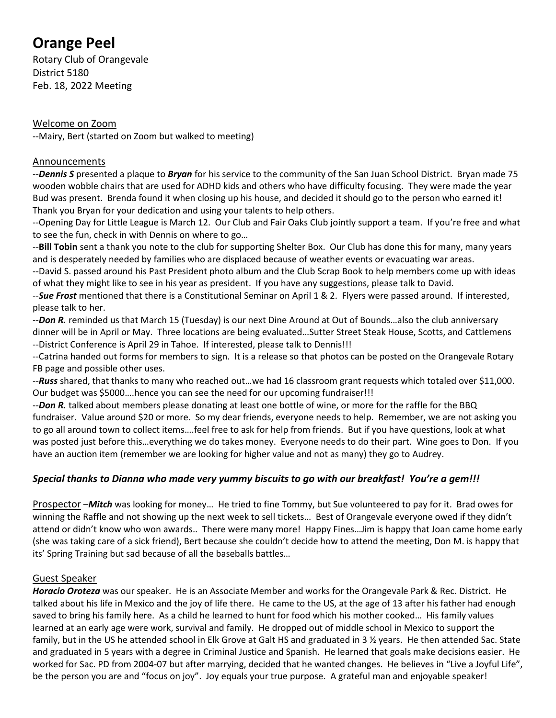# **Orange Peel**

Rotary Club of Orangevale District 5180 Feb. 18, 2022 Meeting

## Welcome on Zoom

--Mairy, Bert (started on Zoom but walked to meeting)

## Announcements

--*Dennis S* presented a plaque to *Bryan* for his service to the community of the San Juan School District. Bryan made 75 wooden wobble chairs that are used for ADHD kids and others who have difficulty focusing. They were made the year Bud was present. Brenda found it when closing up his house, and decided it should go to the person who earned it! Thank you Bryan for your dedication and using your talents to help others.

--Opening Day for Little League is March 12. Our Club and Fair Oaks Club jointly support a team. If you're free and what to see the fun, check in with Dennis on where to go…

--**Bill Tobin** sent a thank you note to the club for supporting Shelter Box. Our Club has done this for many, many years and is desperately needed by families who are displaced because of weather events or evacuating war areas.

--David S. passed around his Past President photo album and the Club Scrap Book to help members come up with ideas of what they might like to see in his year as president. If you have any suggestions, please talk to David.

--*Sue Frost* mentioned that there is a Constitutional Seminar on April 1 & 2. Flyers were passed around. If interested, please talk to her.

--*Don R.* reminded us that March 15 (Tuesday) is our next Dine Around at Out of Bounds…also the club anniversary dinner will be in April or May. Three locations are being evaluated…Sutter Street Steak House, Scotts, and Cattlemens --District Conference is April 29 in Tahoe. If interested, please talk to Dennis!!!

--Catrina handed out forms for members to sign. It is a release so that photos can be posted on the Orangevale Rotary FB page and possible other uses.

--*Russ* shared, that thanks to many who reached out…we had 16 classroom grant requests which totaled over \$11,000. Our budget was \$5000….hence you can see the need for our upcoming fundraiser!!!

--*Don R.* talked about members please donating at least one bottle of wine, or more for the raffle for the BBQ fundraiser. Value around \$20 or more. So my dear friends, everyone needs to help. Remember, we are not asking you to go all around town to collect items….feel free to ask for help from friends. But if you have questions, look at what was posted just before this…everything we do takes money. Everyone needs to do their part. Wine goes to Don. If you have an auction item (remember we are looking for higher value and not as many) they go to Audrey.

# *Special thanks to Dianna who made very yummy biscuits to go with our breakfast! You're a gem!!!*

Prospector –*Mitch* was looking for money… He tried to fine Tommy, but Sue volunteered to pay for it. Brad owes for winning the Raffle and not showing up the next week to sell tickets… Best of Orangevale everyone owed if they didn't attend or didn't know who won awards.. There were many more! Happy Fines…Jim is happy that Joan came home early (she was taking care of a sick friend), Bert because she couldn't decide how to attend the meeting, Don M. is happy that its' Spring Training but sad because of all the baseballs battles…

# Guest Speaker

*Horacio Oroteza* was our speaker. He is an Associate Member and works for the Orangevale Park & Rec. District. He talked about his life in Mexico and the joy of life there. He came to the US, at the age of 13 after his father had enough saved to bring his family here. As a child he learned to hunt for food which his mother cooked… His family values learned at an early age were work, survival and family. He dropped out of middle school in Mexico to support the family, but in the US he attended school in Elk Grove at Galt HS and graduated in 3 ½ years. He then attended Sac. State and graduated in 5 years with a degree in Criminal Justice and Spanish. He learned that goals make decisions easier. He worked for Sac. PD from 2004-07 but after marrying, decided that he wanted changes. He believes in "Live a Joyful Life", be the person you are and "focus on joy". Joy equals your true purpose. A grateful man and enjoyable speaker!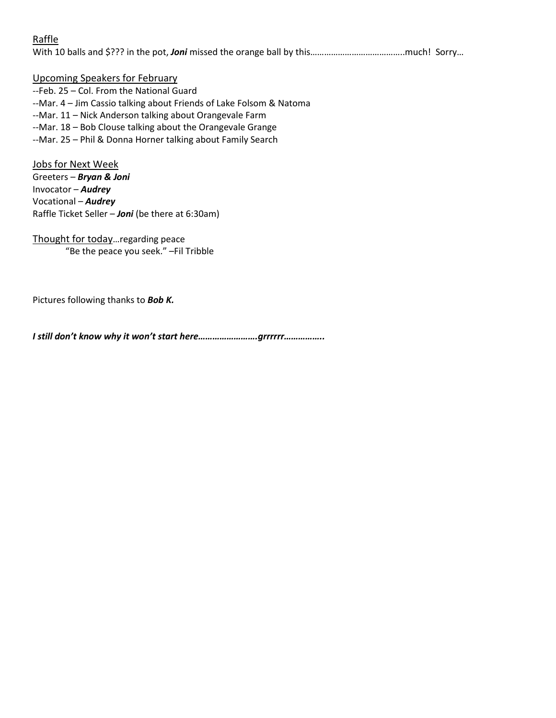### Raffle

With 10 balls and \$??? in the pot, *Joni* missed the orange ball by this…………………………………..much! Sorry…

#### Upcoming Speakers for February

--Feb. 25 – Col. From the National Guard --Mar. 4 – Jim Cassio talking about Friends of Lake Folsom & Natoma --Mar. 11 – Nick Anderson talking about Orangevale Farm --Mar. 18 – Bob Clouse talking about the Orangevale Grange --Mar. 25 – Phil & Donna Horner talking about Family Search

Jobs for Next Week Greeters – *Bryan & Joni* Invocator – *Audrey* Vocational – *Audrey* Raffle Ticket Seller – *Joni* (be there at 6:30am)

Thought for today…regarding peace "Be the peace you seek." –Fil Tribble

Pictures following thanks to *Bob K.*

*I still don't know why it won't start here…………………….grrrrrr……………..*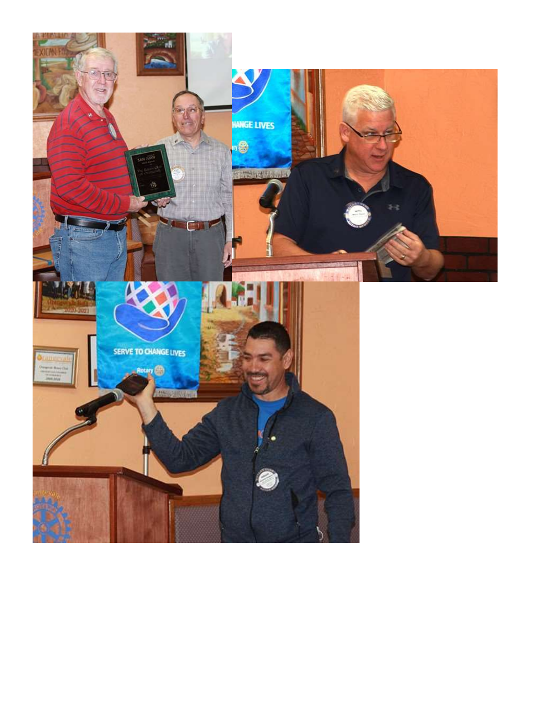